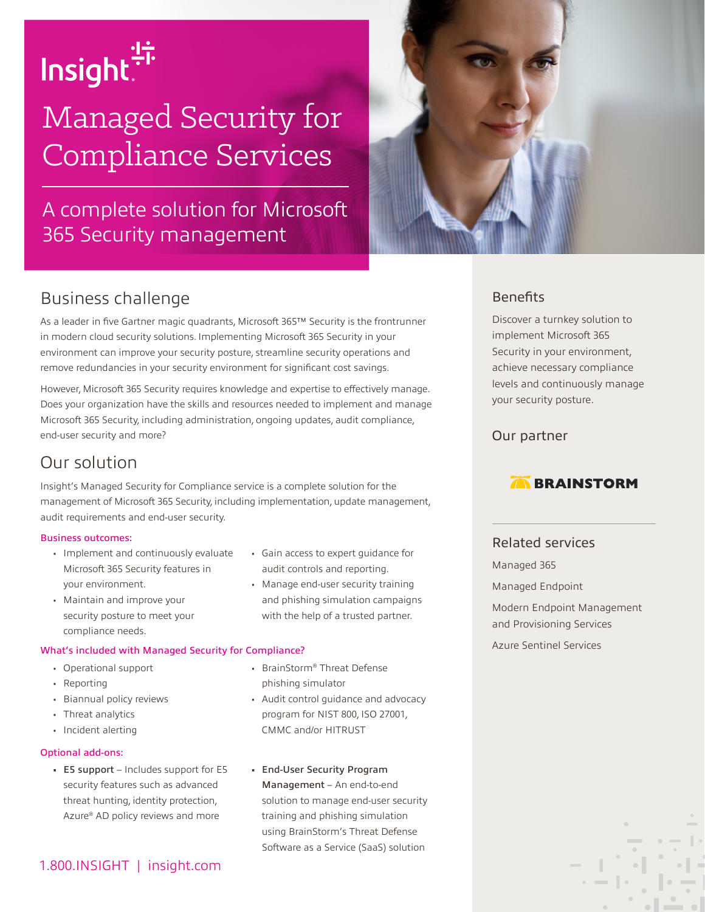

# Managed Security for Compliance Services

# A complete solution for Microsoft 365 Security management



# Business challenge

As a leader in five Gartner magic quadrants, Microsoft 365™ Security is the frontrunner in modern cloud security solutions. Implementing Microsoft 365 Security in your environment can improve your security posture, streamline security operations and remove redundancies in your security environment for significant cost savings.

However, Microsoft 365 Security requires knowledge and expertise to effectively manage. Does your organization have the skills and resources needed to implement and manage Microsoft 365 Security, including administration, ongoing updates, audit compliance, end-user security and more?

## Our solution

Insight's Managed Security for Compliance service is a complete solution for the management of Microsoft 365 Security, including implementation, update management, audit requirements and end-user security.

#### Business outcomes:

- Implement and continuously evaluate Microsoft 365 Security features in your environment.
- Maintain and improve your security posture to meet your compliance needs.

#### What's included with Managed Security for Compliance?

- Operational support
- Reporting
- Biannual policy reviews
- Threat analytics
- Incident alerting

#### Optional add-ons:

- E5 support Includes support for E5 security features such as advanced threat hunting, identity protection, Azure® AD policy reviews and more
- 1.800.INSIGHT | insight.com
- Gain access to expert guidance for audit controls and reporting.
- Manage end-user security training and phishing simulation campaigns with the help of a trusted partner.
- BrainStorm® Threat Defense phishing simulator
- Audit control guidance and advocacy program for NIST 800, ISO 27001, CMMC and/or HITRUST
- End-User Security Program Management – An end-to-end solution to manage end-user security training and phishing simulation using BrainStorm's Threat Defense Software as a Service (SaaS) solution

## **Benefits**

Discover a turnkey solution to implement Microsoft 365 Security in your environment, achieve necessary compliance levels and continuously manage your security posture.

### Our partner

## **BRAINSTORM**

## Related services

Managed 365 Managed Endpoint

Modern Endpoint Management and Provisioning Services

Azure Sentinel Services